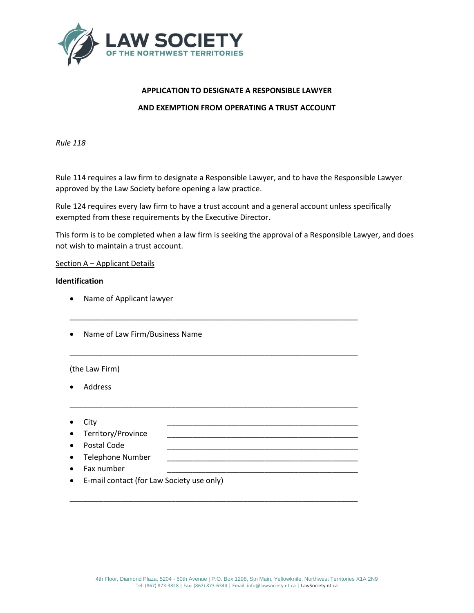

# **APPLICATION TO DESIGNATE A RESPONSIBLE LAWYER AND EXEMPTION FROM OPERATING A TRUST ACCOUNT**

*Rule 118*

Rule 114 requires a law firm to designate a Responsible Lawyer, and to have the Responsible Lawyer approved by the Law Society before opening a law practice.

Rule 124 requires every law firm to have a trust account and a general account unless specifically exempted from these requirements by the Executive Director.

\_\_\_\_\_\_\_\_\_\_\_\_\_\_\_\_\_\_\_\_\_\_\_\_\_\_\_\_\_\_\_\_\_\_\_\_\_\_\_\_\_\_\_\_\_\_\_\_\_\_\_\_\_\_\_\_\_\_\_\_\_\_\_\_\_\_\_\_

\_\_\_\_\_\_\_\_\_\_\_\_\_\_\_\_\_\_\_\_\_\_\_\_\_\_\_\_\_\_\_\_\_\_\_\_\_\_\_\_\_\_\_\_\_\_\_\_\_\_\_\_\_\_\_\_\_\_\_\_\_\_\_\_\_\_\_\_

\_\_\_\_\_\_\_\_\_\_\_\_\_\_\_\_\_\_\_\_\_\_\_\_\_\_\_\_\_\_\_\_\_\_\_\_\_\_\_\_\_\_\_\_\_\_\_\_\_\_\_\_\_\_\_\_\_\_\_\_\_\_\_\_\_\_\_\_

\_\_\_\_\_\_\_\_\_\_\_\_\_\_\_\_\_\_\_\_\_\_\_\_\_\_\_\_\_\_\_\_\_\_\_\_\_\_\_\_\_\_\_\_\_\_\_\_\_\_\_\_\_\_\_\_\_\_\_\_\_\_\_\_\_\_\_\_

This form is to be completed when a law firm is seeking the approval of a Responsible Lawyer, and does not wish to maintain a trust account.

## Section A – Applicant Details

## **Identification**

- Name of Applicant lawyer
- Name of Law Firm/Business Name

(the Law Firm)

- Address
- City \_\_\_\_\_\_\_\_\_\_\_\_\_\_\_\_\_\_\_\_\_\_\_\_\_\_\_\_\_\_\_\_\_\_\_\_\_\_\_\_\_\_\_\_\_
- Territory/Province
- Postal Code
- Telephone Number
- Fax number
- E-mail contact (for Law Society use only)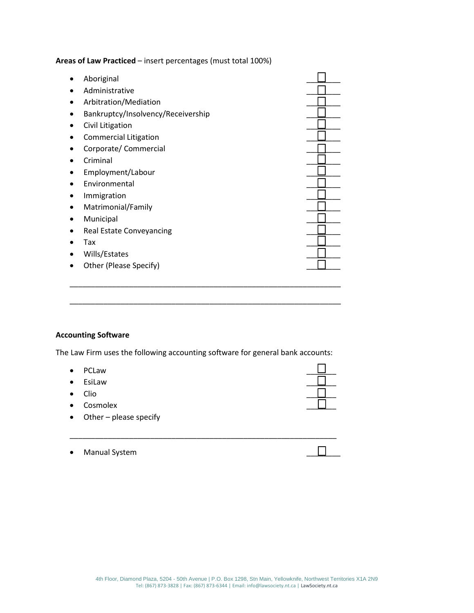**Areas of Law Practiced** – insert percentages (must total 100%)

| Aboriginal                         |  |
|------------------------------------|--|
| Administrative                     |  |
| Arbitration/Mediation              |  |
| Bankruptcy/Insolvency/Receivership |  |
| Civil Litigation                   |  |
| <b>Commercial Litigation</b>       |  |
| Corporate/ Commercial              |  |
| Criminal                           |  |
| Employment/Labour                  |  |
| Environmental                      |  |
| Immigration                        |  |
| Matrimonial/Family                 |  |
| Municipal                          |  |
| Real Estate Conveyancing           |  |
| Tax                                |  |
| Wills/Estates                      |  |
| Other (Please Specify)             |  |
|                                    |  |

## **Accounting Software**

The Law Firm uses the following accounting software for general bank accounts:

\_\_\_\_\_\_\_\_\_\_\_\_\_\_\_\_\_\_\_\_\_\_\_\_\_\_\_\_\_\_\_\_\_\_\_\_\_\_\_\_\_\_\_\_\_\_\_\_\_\_\_\_\_\_\_\_\_\_\_\_\_\_\_\_

\_\_\_\_\_\_\_\_\_\_\_\_\_\_\_\_\_\_\_\_\_\_\_\_\_\_\_\_\_\_\_\_\_\_\_\_\_\_\_\_\_\_\_\_\_\_\_\_\_\_\_\_\_\_\_\_\_\_\_\_\_\_\_\_

- PCLaw \_\_\_\_\_\_\_
- $\bullet$  EsiLaw  $\begin{array}{ccc} & \text{ } \text{\color{red} E} \text{\color{red} E} \text{\color{red} E} \text{\color{red} E} \text{\color{red} E} \text{\color{red} E} \text{\color{red} E} \text{\color{red} E} \text{\color{red} E} \text{\color{red} E} \text{\color{red} E} \text{\color{red} E} \text{\color{red} E} \text{\color{red} E} \text{\color{red} E} \text{\color{red} E} \text{\color{red} E} \text{\color{red} E} \text{\color{red} E} \text{\color{red} E} \text{\color{red} E} \text{\color{red$
- Clio \_\_\_\_\_\_\_
- Cosmolex
- Other please specify
- \_\_\_\_\_\_\_\_\_\_\_\_\_\_\_\_\_\_\_\_\_\_\_\_\_\_\_\_\_\_\_\_\_\_\_\_\_\_\_\_\_\_\_\_\_\_\_\_\_\_\_\_\_\_\_\_\_\_\_\_\_\_\_
- $\bullet$  Manual System  $\Box$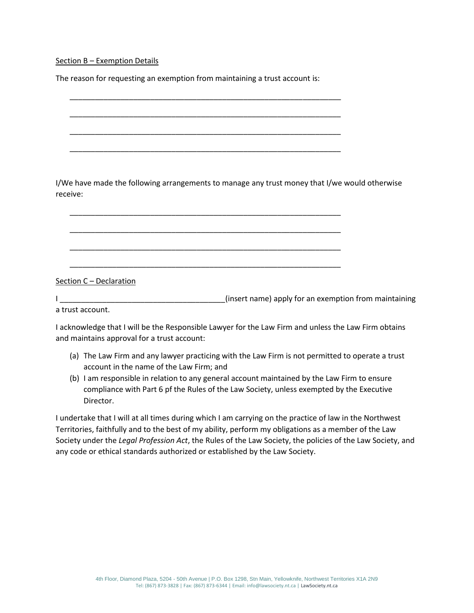Section B – Exemption Details

The reason for requesting an exemption from maintaining a trust account is:

\_\_\_\_\_\_\_\_\_\_\_\_\_\_\_\_\_\_\_\_\_\_\_\_\_\_\_\_\_\_\_\_\_\_\_\_\_\_\_\_\_\_\_\_\_\_\_\_\_\_\_\_\_\_\_\_\_\_\_\_\_\_\_\_

\_\_\_\_\_\_\_\_\_\_\_\_\_\_\_\_\_\_\_\_\_\_\_\_\_\_\_\_\_\_\_\_\_\_\_\_\_\_\_\_\_\_\_\_\_\_\_\_\_\_\_\_\_\_\_\_\_\_\_\_\_\_\_\_

\_\_\_\_\_\_\_\_\_\_\_\_\_\_\_\_\_\_\_\_\_\_\_\_\_\_\_\_\_\_\_\_\_\_\_\_\_\_\_\_\_\_\_\_\_\_\_\_\_\_\_\_\_\_\_\_\_\_\_\_\_\_\_\_

\_\_\_\_\_\_\_\_\_\_\_\_\_\_\_\_\_\_\_\_\_\_\_\_\_\_\_\_\_\_\_\_\_\_\_\_\_\_\_\_\_\_\_\_\_\_\_\_\_\_\_\_\_\_\_\_\_\_\_\_\_\_\_\_

\_\_\_\_\_\_\_\_\_\_\_\_\_\_\_\_\_\_\_\_\_\_\_\_\_\_\_\_\_\_\_\_\_\_\_\_\_\_\_\_\_\_\_\_\_\_\_\_\_\_\_\_\_\_\_\_\_\_\_\_\_\_\_\_

\_\_\_\_\_\_\_\_\_\_\_\_\_\_\_\_\_\_\_\_\_\_\_\_\_\_\_\_\_\_\_\_\_\_\_\_\_\_\_\_\_\_\_\_\_\_\_\_\_\_\_\_\_\_\_\_\_\_\_\_\_\_\_\_

\_\_\_\_\_\_\_\_\_\_\_\_\_\_\_\_\_\_\_\_\_\_\_\_\_\_\_\_\_\_\_\_\_\_\_\_\_\_\_\_\_\_\_\_\_\_\_\_\_\_\_\_\_\_\_\_\_\_\_\_\_\_\_\_

\_\_\_\_\_\_\_\_\_\_\_\_\_\_\_\_\_\_\_\_\_\_\_\_\_\_\_\_\_\_\_\_\_\_\_\_\_\_\_\_\_\_\_\_\_\_\_\_\_\_\_\_\_\_\_\_\_\_\_\_\_\_\_\_

I/We have made the following arrangements to manage any trust money that I/we would otherwise receive:

Section C – Declaration

I also assume that the same of the same insert name) apply for an exemption from maintaining a trust account.

I acknowledge that I will be the Responsible Lawyer for the Law Firm and unless the Law Firm obtains and maintains approval for a trust account:

- (a) The Law Firm and any lawyer practicing with the Law Firm is not permitted to operate a trust account in the name of the Law Firm; and
- (b) I am responsible in relation to any general account maintained by the Law Firm to ensure compliance with Part 6 pf the Rules of the Law Society, unless exempted by the Executive Director.

I undertake that I will at all times during which I am carrying on the practice of law in the Northwest Territories, faithfully and to the best of my ability, perform my obligations as a member of the Law Society under the *Legal Profession Act*, the Rules of the Law Society, the policies of the Law Society, and any code or ethical standards authorized or established by the Law Society.